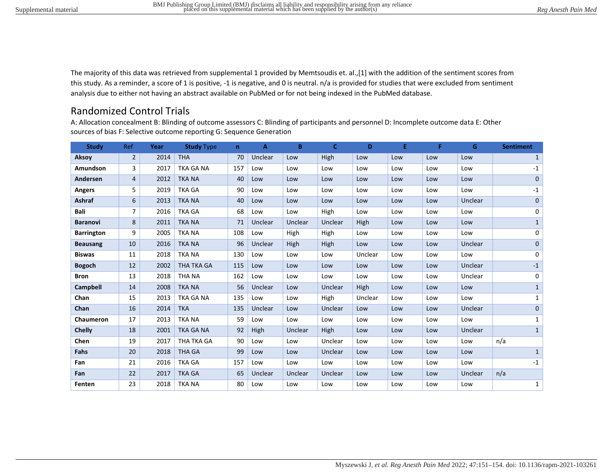The majority of this data was retrieved from supplemental 1 provided by Memtsoudis et. al.,[1] with the addition of the sentiment scores from this study. As a reminder, a score of 1 is positive, -1 is negative, and 0 is neutral. n/a is provided for studies that were excluded from sentiment analysis due to either not having an abstract available on PubMed or for not being indexed in the PubMed database.

## Randomized Control Trials

A: Allocation concealment B: Blinding of outcome assessors C: Blinding of participants and personnel D: Incomplete outcome data E: Other sources of bias F: Selective outcome reporting G: Sequence Generation

| <b>Study</b>      | Ref            | Year | <b>Study Type</b> | $\mathbf n$ | A       | B       | C.      | D       | E.  | F   | G       | <b>Sentiment</b> |
|-------------------|----------------|------|-------------------|-------------|---------|---------|---------|---------|-----|-----|---------|------------------|
| Aksoy             | $\overline{2}$ | 2014 | <b>THA</b>        | 70          | Unclear | Low     | High    | Low     | Low | Low | Low     | $\mathbf{1}$     |
| Amundson          | 3              | 2017 | <b>TKA GA NA</b>  | 157         | Low     | Low     | Low     | Low     | Low | Low | Low     | $-1$             |
| Andersen          | $\overline{4}$ | 2012 | <b>TKA NA</b>     | 40          | Low     | Low     | Low     | Low     | Low | Low | Low     | 0                |
| <b>Angers</b>     | 5              | 2019 | <b>TKA GA</b>     | 90          | Low     | Low     | Low     | Low     | Low | Low | Low     | $-1$             |
| Ashraf            | 6              | 2013 | <b>TKA NA</b>     | 40          | Low     | Low     | Low     | Low     | Low | Low | Unclear | $\mathbf 0$      |
| Bali              | 7              | 2016 | <b>TKA GA</b>     | 68          | Low     | Low     | High    | Low     | Low | Low | Low     | 0                |
| <b>Baranovi</b>   | 8              | 2011 | <b>TKA NA</b>     | 71          | Unclear | Unclear | Unclear | High    | Low | Low | Low     | $\mathbf{1}$     |
| <b>Barrington</b> | 9              | 2005 | <b>TKA NA</b>     | 108         | Low     | High    | High    | Low     | Low | Low | Low     | 0                |
| <b>Beausang</b>   | 10             | 2016 | <b>TKA NA</b>     | 96          | Unclear | High    | High    | Low     | Low | Low | Unclear | $\mathbf 0$      |
| <b>Biswas</b>     | 11             | 2018 | <b>TKA NA</b>     | 130         | Low     | Low     | Low     | Unclear | Low | Low | Low     | $\mathbf 0$      |
| <b>Bogoch</b>     | 12             | 2002 | <b>THA TKA GA</b> | 115         | Low     | Low     | Low     | Low     | Low | Low | Unclear | $-1$             |
| <b>Bron</b>       | 13             | 2018 | <b>THA NA</b>     | 162         | Low     | Low     | Low     | Low     | Low | Low | Unclear | 0                |
| <b>Campbell</b>   | 14             | 2008 | <b>TKA NA</b>     | 56          | Unclear | Low     | Unclear | High    | Low | Low | Low     | $\mathbf{1}$     |
| Chan              | 15             | 2013 | <b>TKA GA NA</b>  | 135         | Low     | Low     | High    | Unclear | Low | Low | Low     | $\mathbf{1}$     |
| Chan              | 16             | 2014 | <b>TKA</b>        | 135         | Unclear | Low     | Unclear | Low     | Low | Low | Unclear | 0                |
| <b>Chaumeron</b>  | 17             | 2013 | <b>TKA NA</b>     | 59          | Low     | Low     | Low     | Low     | Low | Low | Low     | $\mathbf{1}$     |
| <b>Chelly</b>     | 18             | 2001 | <b>TKA GA NA</b>  | 92          | High    | Unclear | High    | Low     | Low | Low | Unclear | $\mathbf{1}$     |
| Chen              | 19             | 2017 | THA TKA GA        | 90          | Low     | Low     | Unclear | Low     | Low | Low | Low     | n/a              |
| Fahs              | 20             | 2018 | <b>THA GA</b>     | 99          | Low     | Low     | Unclear | Low     | Low | Low | Low     | $\mathbf{1}$     |
| Fan               | 21             | 2016 | <b>TKA GA</b>     | 157         | Low     | Low     | Low     | Low     | Low | Low | Low     | $-1$             |
| Fan               | 22             | 2017 | <b>TKA GA</b>     | 65          | Unclear | Unclear | Unclear | Low     | Low | Low | Unclear | n/a              |
| Fenten            | 23             | 2018 | <b>TKA NA</b>     | 80          | Low     | Low     | Low     | Low     | Low | Low | Low     | $\mathbf{1}$     |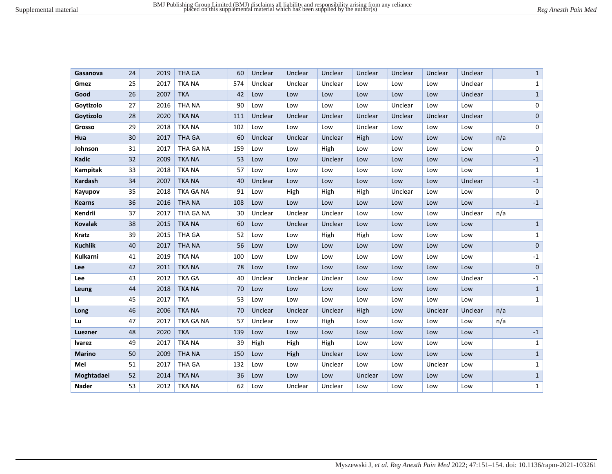| Gasanova       | 24 | 2019 | <b>THA GA</b> | 60  | Unclear | Unclear | Unclear | Unclear | Unclear | Unclear | Unclear |     | $\mathbf{1}$ |
|----------------|----|------|---------------|-----|---------|---------|---------|---------|---------|---------|---------|-----|--------------|
| Gmez           | 25 | 2017 | <b>TKA NA</b> | 574 | Unclear | Unclear | Unclear | Low     | Low     | Low     | Unclear |     | $\mathbf{1}$ |
| Good           | 26 | 2007 | <b>TKA</b>    | 42  | Low     | Low     | Low     | Low     | Low     | Low     | Unclear |     | $\mathbf 1$  |
| Goytizolo      | 27 | 2016 | THA NA        | 90  | Low     | Low     | Low     | Low     | Unclear | Low     | Low     |     | 0            |
| Goytizolo      | 28 | 2020 | <b>TKA NA</b> | 111 | Unclear | Unclear | Unclear | Unclear | Unclear | Unclear | Unclear |     | 0            |
| Grosso         | 29 | 2018 | <b>TKA NA</b> | 102 | Low     | Low     | Low     | Unclear | Low     | Low     | Low     |     | 0            |
| Hua            | 30 | 2017 | <b>THA GA</b> | 60  | Unclear | Unclear | Unclear | High    | Low     | Low     | Low     | n/a |              |
| Johnson        | 31 | 2017 | THA GA NA     | 159 | Low     | Low     | High    | Low     | Low     | Low     | Low     |     | 0            |
| Kadic          | 32 | 2009 | <b>TKA NA</b> | 53  | Low     | Low     | Unclear | Low     | Low     | Low     | Low     |     | $-1$         |
| Kampitak       | 33 | 2018 | <b>TKA NA</b> | 57  | Low     | Low     | Low     | Low     | Low     | Low     | Low     |     | $\mathbf{1}$ |
| Kardash        | 34 | 2007 | <b>TKA NA</b> | 40  | Unclear | Low     | Low     | Low     | Low     | Low     | Unclear |     | $^{\rm -1}$  |
| Kayupov        | 35 | 2018 | TKA GA NA     | 91  | Low     | High    | High    | High    | Unclear | Low     | Low     |     | 0            |
| <b>Kearns</b>  | 36 | 2016 | <b>THANA</b>  | 108 | Low     | Low     | Low     | Low     | Low     | Low     | Low     |     | $-1$         |
| Kendrii        | 37 | 2017 | THA GA NA     | 30  | Unclear | Unclear | Unclear | Low     | Low     | Low     | Unclear | n/a |              |
| <b>Kovalak</b> | 38 | 2015 | <b>TKA NA</b> | 60  | Low     | Unclear | Unclear | Low     | Low     | Low     | Low     |     | $1\,$        |
| <b>Kratz</b>   | 39 | 2015 | THA GA        | 52  | Low     | Low     | High    | High    | Low     | Low     | Low     |     | $\mathbf{1}$ |
| <b>Kuchlik</b> | 40 | 2017 | <b>THA NA</b> | 56  | Low     | Low     | Low     | Low     | Low     | Low     | Low     |     | $\mathbf 0$  |
| Kulkarni       | 41 | 2019 | <b>TKA NA</b> | 100 | Low     | Low     | Low     | Low     | Low     | Low     | Low     |     | $-1$         |
| Lee            | 42 | 2011 | <b>TKA NA</b> | 78  | Low     | Low     | Low     | Low     | Low     | Low     | Low     |     | $\pmb{0}$    |
| Lee            | 43 | 2012 | <b>TKA GA</b> | 40  | Unclear | Unclear | Unclear | Low     | Low     | Low     | Unclear |     | $-1$         |
| Leung          | 44 | 2018 | <b>TKA NA</b> | 70  | Low     | Low     | Low     | Low     | Low     | Low     | Low     |     | $\mathbf{1}$ |
| Li             | 45 | 2017 | <b>TKA</b>    | 53  | Low     | Low     | Low     | Low     | Low     | Low     | Low     |     | $\mathbf{1}$ |
| Long           | 46 | 2006 | <b>TKA NA</b> | 70  | Unclear | Unclear | Unclear | High    | Low     | Unclear | Unclear | n/a |              |
| Lu             | 47 | 2017 | TKA GA NA     | 57  | Unclear | Low     | High    | Low     | Low     | Low     | Low     | n/a |              |
| Luezner        | 48 | 2020 | <b>TKA</b>    | 139 | Low     | Low     | Low     | Low     | Low     | Low     | Low     |     | $-1$         |
| <b>lvarez</b>  | 49 | 2017 | <b>TKA NA</b> | 39  | High    | High    | High    | Low     | Low     | Low     | Low     |     | $\mathbf{1}$ |
| <b>Marino</b>  | 50 | 2009 | <b>THANA</b>  | 150 | Low     | High    | Unclear | Low     | Low     | Low     | Low     |     | $\mathbf{1}$ |
| Mei            | 51 | 2017 | THA GA        | 132 | Low     | Low     | Unclear | Low     | Low     | Unclear | Low     |     | $\mathbf{1}$ |
| Moghtadaei     | 52 | 2014 | <b>TKA NA</b> | 36  | Low     | Low     | Low     | Unclear | Low     | Low     | Low     |     | $\mathbf{1}$ |
| <b>Nader</b>   | 53 | 2012 | <b>TKA NA</b> | 62  | Low     | Unclear | Unclear | Low     | Low     | Low     | Low     |     | $\mathbf{1}$ |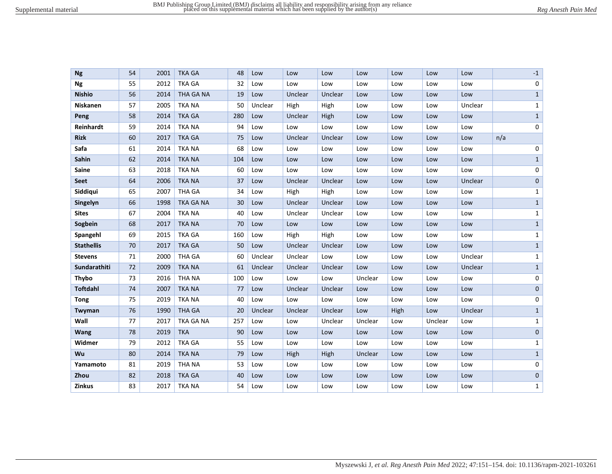| <b>Ng</b>         | 54 | 2001 | <b>TKA GA</b>    | 48  | Low     | Low     | Low     | Low     | Low  | Low     | Low     |     | $-1$         |
|-------------------|----|------|------------------|-----|---------|---------|---------|---------|------|---------|---------|-----|--------------|
| <b>Ng</b>         | 55 | 2012 | <b>TKA GA</b>    | 32  | Low     | Low     | Low     | Low     | Low  | Low     | Low     |     | 0            |
| <b>Nishio</b>     | 56 | 2014 | <b>THA GA NA</b> | 19  | Low     | Unclear | Unclear | Low     | Low  | Low     | Low     |     | $\mathbf{1}$ |
| Niskanen          | 57 | 2005 | <b>TKA NA</b>    | 50  | Unclear | High    | High    | Low     | Low  | Low     | Unclear |     | $\mathbf{1}$ |
| Peng              | 58 | 2014 | <b>TKA GA</b>    | 280 | Low     | Unclear | High    | Low     | Low  | Low     | Low     |     | $\mathbf{1}$ |
| Reinhardt         | 59 | 2014 | <b>TKA NA</b>    | 94  | Low     | Low     | Low     | Low     | Low  | Low     | Low     |     | 0            |
| <b>Rizk</b>       | 60 | 2017 | <b>TKA GA</b>    | 75  | Low     | Unclear | Unclear | Low     | Low  | Low     | Low     | n/a |              |
| Safa              | 61 | 2014 | <b>TKA NA</b>    | 68  | Low     | Low     | Low     | Low     | Low  | Low     | Low     |     | 0            |
| Sahin             | 62 | 2014 | <b>TKA NA</b>    | 104 | Low     | Low     | Low     | Low     | Low  | Low     | Low     |     | $\mathbf{1}$ |
| <b>Saine</b>      | 63 | 2018 | <b>TKA NA</b>    | 60  | Low     | Low     | Low     | Low     | Low  | Low     | Low     |     | 0            |
| <b>Seet</b>       | 64 | 2006 | <b>TKA NA</b>    | 37  | Low     | Unclear | Unclear | Low     | Low  | Low     | Unclear |     | $\pmb{0}$    |
| Siddiqui          | 65 | 2007 | <b>THA GA</b>    | 34  | Low     | High    | High    | Low     | Low  | Low     | Low     |     | $\mathbf{1}$ |
| Singelyn          | 66 | 1998 | TKA GA NA        | 30  | Low     | Unclear | Unclear | Low     | Low  | Low     | Low     |     | $\mathbf{1}$ |
| <b>Sites</b>      | 67 | 2004 | <b>TKA NA</b>    | 40  | Low     | Unclear | Unclear | Low     | Low  | Low     | Low     |     | $\mathbf{1}$ |
| Sogbein           | 68 | 2017 | <b>TKA NA</b>    | 70  | Low     | Low     | Low     | Low     | Low  | Low     | Low     |     | $\mathbf{1}$ |
| Spangehl          | 69 | 2015 | <b>TKA GA</b>    | 160 | Low     | High    | High    | Low     | Low  | Low     | Low     |     | $\mathbf{1}$ |
| <b>Stathellis</b> | 70 | 2017 | <b>TKA GA</b>    | 50  | Low     | Unclear | Unclear | Low     | Low  | Low     | Low     |     | $\mathbf{1}$ |
| <b>Stevens</b>    | 71 | 2000 | THA GA           | 60  | Unclear | Unclear | Low     | Low     | Low  | Low     | Unclear |     | $\mathbf{1}$ |
| Sundarathiti      | 72 | 2009 | <b>TKA NA</b>    | 61  | Unclear | Unclear | Unclear | Low     | Low  | Low     | Unclear |     | $\mathbf{1}$ |
| Thybo             | 73 | 2016 | THA NA           | 100 | Low     | Low     | Low     | Unclear | Low  | Low     | Low     |     | 0            |
| <b>Toftdahl</b>   | 74 | 2007 | <b>TKA NA</b>    | 77  | Low     | Unclear | Unclear | Low     | Low  | Low     | Low     |     | 0            |
| <b>Tong</b>       | 75 | 2019 | <b>TKA NA</b>    | 40  | Low     | Low     | Low     | Low     | Low  | Low     | Low     |     | 0            |
| Twyman            | 76 | 1990 | <b>THA GA</b>    | 20  | Unclear | Unclear | Unclear | Low     | High | Low     | Unclear |     | $\mathbf{1}$ |
| Wall              | 77 | 2017 | TKA GA NA        | 257 | Low     | Low     | Unclear | Unclear | Low  | Unclear | Low     |     | 1            |
| Wang              | 78 | 2019 | <b>TKA</b>       | 90  | Low     | Low     | Low     | Low     | Low  | Low     | Low     |     | 0            |
| Widmer            | 79 | 2012 | <b>TKA GA</b>    | 55  | Low     | Low     | Low     | Low     | Low  | Low     | Low     |     | $\mathbf{1}$ |
| Wu                | 80 | 2014 | <b>TKA NA</b>    | 79  | Low     | High    | High    | Unclear | Low  | Low     | Low     |     | $\mathbf{1}$ |
| Yamamoto          | 81 | 2019 | <b>THA NA</b>    | 53  | Low     | Low     | Low     | Low     | Low  | Low     | Low     |     | 0            |
| Zhou              | 82 | 2018 | <b>TKA GA</b>    | 40  | Low     | Low     | Low     | Low     | Low  | Low     | Low     |     | 0            |
| Zinkus            | 83 | 2017 | <b>TKA NA</b>    | 54  | Low     | Low     | Low     | Low     | Low  | Low     | Low     |     | $\mathbf{1}$ |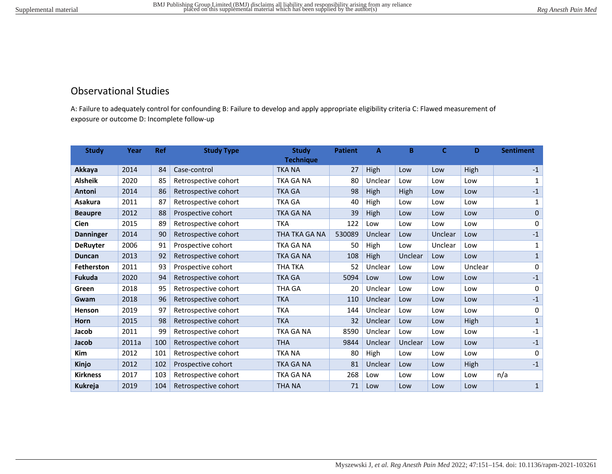## Observational Studies

A: Failure to adequately control for confounding B: Failure to develop and apply appropriate eligibility criteria C: Flawed measurement of exposure or outcome D: Incomplete follow-up

| <b>Study</b>      | Year  | <b>Ref</b> | <b>Study Type</b>    | <b>Study</b>     | <b>Patient</b> | A       | B       | C       | D       | <b>Sentiment</b> |
|-------------------|-------|------------|----------------------|------------------|----------------|---------|---------|---------|---------|------------------|
|                   |       |            |                      | <b>Technique</b> |                |         |         |         |         |                  |
| Akkaya            | 2014  | 84         | Case-control         | <b>TKA NA</b>    | 27             | High    | Low     | Low     | High    | $-1$             |
| <b>Alsheik</b>    | 2020  | 85         | Retrospective cohort | TKA GA NA        | 80             | Unclear | Low     | Low     | Low     | 1                |
| <b>Antoni</b>     | 2014  | 86         | Retrospective cohort | <b>TKA GA</b>    | 98             | High    | High    | Low     | Low     | $-1$             |
| <b>Asakura</b>    | 2011  | 87         | Retrospective cohort | <b>TKA GA</b>    | 40             | High    | Low     | Low     | Low     | $\mathbf{1}$     |
| <b>Beaupre</b>    | 2012  | 88         | Prospective cohort   | <b>TKA GA NA</b> | 39             | High    | Low     | Low     | Low     | $\mathbf{0}$     |
| Cien              | 2015  | 89         | Retrospective cohort | <b>TKA</b>       | 122            | Low     | Low     | Low     | Low     | 0                |
| <b>Danninger</b>  | 2014  | 90         | Retrospective cohort | THA TKA GA NA    | 530089         | Unclear | Low     | Unclear | Low     | $\textbf{-1}$    |
| <b>DeRuyter</b>   | 2006  | 91         | Prospective cohort   | TKA GA NA        | 50             | High    | Low     | Unclear | Low     | $\mathbf{1}$     |
| <b>Duncan</b>     | 2013  | 92         | Retrospective cohort | TKA GA NA        | 108            | High    | Unclear | Low     | Low     | $\mathbf{1}$     |
| <b>Fetherston</b> | 2011  | 93         | Prospective cohort   | THA TKA          | 52             | Unclear | Low     | Low     | Unclear | 0                |
| <b>Fukuda</b>     | 2020  | 94         | Retrospective cohort | <b>TKA GA</b>    | 5094           | Low     | Low     | Low     | Low     | $-1$             |
| Green             | 2018  | 95         | Retrospective cohort | <b>THA GA</b>    | 20             | Unclear | Low     | Low     | Low     | 0                |
| Gwam              | 2018  | 96         | Retrospective cohort | <b>TKA</b>       | 110            | Unclear | Low     | Low     | Low     | $-1$             |
| Henson            | 2019  | 97         | Retrospective cohort | <b>TKA</b>       | 144            | Unclear | Low     | Low     | Low     | 0                |
| Horn              | 2015  | 98         | Retrospective cohort | <b>TKA</b>       | 32             | Unclear | Low     | Low     | High    | $\mathbf{1}$     |
| Jacob             | 2011  | 99         | Retrospective cohort | TKA GA NA        | 8590           | Unclear | Low     | Low     | Low     | $-1$             |
| Jacob             | 2011a | 100        | Retrospective cohort | <b>THA</b>       | 9844           | Unclear | Unclear | Low     | Low     | $-1$             |
| Kim               | 2012  | 101        | Retrospective cohort | TKA NA           | 80             | High    | Low     | Low     | Low     | 0                |
| Kinjo             | 2012  | 102        | Prospective cohort   | TKA GA NA        | 81             | Unclear | Low     | Low     | High    | $-1$             |
| <b>Kirkness</b>   | 2017  | 103        | Retrospective cohort | <b>TKA GA NA</b> | 268            | Low     | Low     | Low     | Low     | n/a              |
| <b>Kukreja</b>    | 2019  | 104        | Retrospective cohort | <b>THA NA</b>    | 71             | Low     | Low     | Low     | Low     | $\mathbf{1}$     |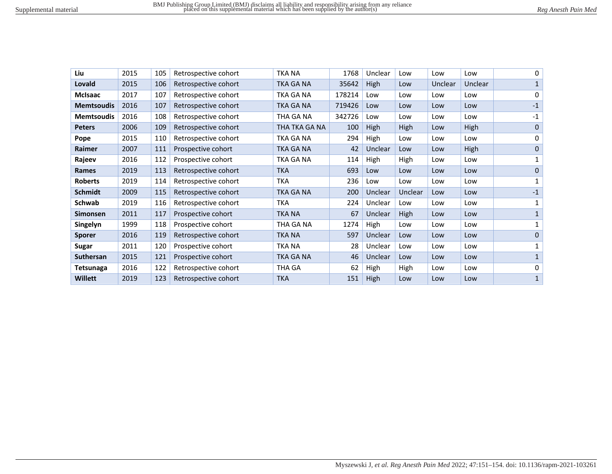| 2015 | 105 | Retrospective cohort | TKA NA        | 1768   | Unclear | Low     | Low     | Low            | 0            |
|------|-----|----------------------|---------------|--------|---------|---------|---------|----------------|--------------|
| 2015 | 106 | Retrospective cohort | TKA GA NA     | 35642  | High    | Low     | Unclear | <b>Unclear</b> | $\mathbf{1}$ |
| 2017 | 107 | Retrospective cohort | TKA GA NA     | 178214 | Low     | Low     | Low     | Low            | 0            |
| 2016 | 107 | Retrospective cohort | TKA GA NA     | 719426 | Low     | Low     | Low     | Low            | $-1$         |
| 2016 | 108 | Retrospective cohort | THA GA NA     | 342726 | Low     | Low     | Low     | Low            | $-1$         |
| 2006 | 109 | Retrospective cohort | THA TKA GA NA | 100    | High    | High    | Low     | High           | $\mathbf{0}$ |
| 2015 | 110 | Retrospective cohort | TKA GA NA     | 294    | High    | Low     | Low     | Low            | 0            |
| 2007 | 111 | Prospective cohort   | TKA GA NA     | 42     | Unclear | Low     | Low     | High           | $\mathbf{0}$ |
| 2016 | 112 | Prospective cohort   | TKA GA NA     | 114    | High    | High    | Low     | Low            | 1            |
| 2019 | 113 | Retrospective cohort | <b>TKA</b>    | 693    | Low     | Low     | Low     | Low            | $\mathbf 0$  |
| 2019 | 114 | Retrospective cohort | <b>TKA</b>    | 236    | Low     | Low     | Low     | Low            | 1            |
| 2009 | 115 | Retrospective cohort | TKA GA NA     | 200    | Unclear | Unclear | Low     | Low            | $-1$         |
| 2019 | 116 | Retrospective cohort | <b>TKA</b>    | 224    | Unclear | Low     | Low     | Low            |              |
| 2011 | 117 | Prospective cohort   | <b>TKA NA</b> | 67     | Unclear | High    | Low     | Low            | $\mathbf{1}$ |
| 1999 | 118 | Prospective cohort   | THA GA NA     | 1274   | High    | Low     | Low     | Low            | 1            |
| 2016 | 119 | Retrospective cohort | <b>TKA NA</b> | 597    | Unclear | Low     | Low     | Low            | $\mathbf{0}$ |
| 2011 | 120 | Prospective cohort   | TKA NA        | 28     | Unclear | Low     | Low     | Low            | 1            |
| 2015 | 121 | Prospective cohort   | TKA GA NA     | 46     | Unclear | Low     | Low     | Low            | $\mathbf{1}$ |
| 2016 | 122 | Retrospective cohort | THA GA        | 62     | High    | High    | Low     | Low            | 0            |
| 2019 | 123 | Retrospective cohort | <b>TKA</b>    | 151    | High    | Low     | Low     | Low            | $\mathbf{1}$ |
|      |     |                      |               |        |         |         |         |                |              |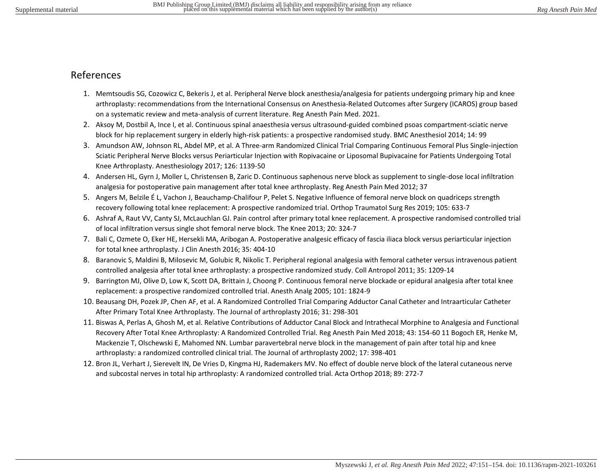## References

- 1. Memtsoudis SG, Cozowicz C, Bekeris J, et al. Peripheral Nerve block anesthesia/analgesia for patients undergoing primary hip and knee arthroplasty: recommendations from the International Consensus on Anesthesia-Related Outcomes after Surgery (ICAROS) group based on a systematic review and meta-analysis of current literature. Reg Anesth Pain Med. 2021.
- 2. Aksoy M, Dostbil A, Ince I, et al. Continuous spinal anaesthesia versus ultrasound-guided combined psoas compartment-sciatic nerve block for hip replacement surgery in elderly high-risk patients: a prospective randomised study. BMC Anesthesiol 2014; 14: 99
- 3. Amundson AW, Johnson RL, Abdel MP, et al. A Three-arm Randomized Clinical Trial Comparing Continuous Femoral Plus Single-injection Sciatic Peripheral Nerve Blocks versus Periarticular Injection with Ropivacaine or Liposomal Bupivacaine for Patients Undergoing Total Knee Arthroplasty. Anesthesiology 2017; 126: 1139-50
- 4. Andersen HL, Gyrn J, Moller L, Christensen B, Zaric D. Continuous saphenous nerve block as supplement to single-dose local infiltration analgesia for postoperative pain management after total knee arthroplasty. Reg Anesth Pain Med 2012; 37
- 5. Angers M, Belzile É L, Vachon J, Beauchamp-Chalifour P, Pelet S. Negative Influence of femoral nerve block on quadriceps strength recovery following total knee replacement: A prospective randomized trial. Orthop Traumatol Surg Res 2019; 105: 633-7
- 6. Ashraf A, Raut VV, Canty SJ, McLauchlan GJ. Pain control after primary total knee replacement. A prospective randomised controlled trial of local infiltration versus single shot femoral nerve block. The Knee 2013; 20: 324-7
- 7. Bali C, Ozmete O, Eker HE, Hersekli MA, Aribogan A. Postoperative analgesic efficacy of fascia iliaca block versus periarticular injection for total knee arthroplasty. J Clin Anesth 2016; 35: 404-10
- 8. Baranovic S, Maldini B, Milosevic M, Golubic R, Nikolic T. Peripheral regional analgesia with femoral catheter versus intravenous patient controlled analgesia after total knee arthroplasty: a prospective randomized study. Coll Antropol 2011; 35: 1209-14
- 9. Barrington MJ, Olive D, Low K, Scott DA, Brittain J, Choong P. Continuous femoral nerve blockade or epidural analgesia after total knee replacement: a prospective randomized controlled trial. Anesth Analg 2005; 101: 1824-9
- 10. Beausang DH, Pozek JP, Chen AF, et al. A Randomized Controlled Trial Comparing Adductor Canal Catheter and Intraarticular Catheter After Primary Total Knee Arthroplasty. The Journal of arthroplasty 2016; 31: 298-301
- 11. Biswas A, Perlas A, Ghosh M, et al. Relative Contributions of Adductor Canal Block and Intrathecal Morphine to Analgesia and Functional Recovery After Total Knee Arthroplasty: A Randomized Controlled Trial. Reg Anesth Pain Med 2018; 43: 154-60 11 Bogoch ER, Henke M, Mackenzie T, Olschewski E, Mahomed NN. Lumbar paravertebral nerve block in the management of pain after total hip and knee arthroplasty: a randomized controlled clinical trial. The Journal of arthroplasty 2002; 17: 398-401
- 12. Bron JL, Verhart J, Sierevelt IN, De Vries D, Kingma HJ, Rademakers MV. No effect of double nerve block of the lateral cutaneous nerve and subcostal nerves in total hip arthroplasty: A randomized controlled trial. Acta Orthop 2018; 89: 272-7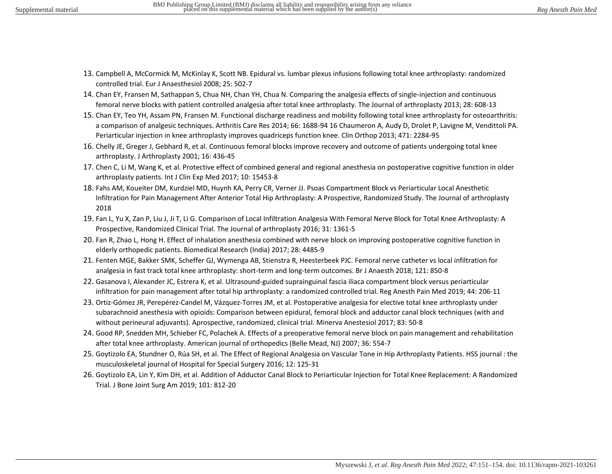- 13. Campbell A, McCormick M, McKinlay K, Scott NB. Epidural vs. lumbar plexus infusions following total knee arthroplasty: randomized controlled trial. Eur J Anaesthesiol 2008; 25: 502-7
- 14. Chan EY, Fransen M, Sathappan S, Chua NH, Chan YH, Chua N. Comparing the analgesia effects of single-injection and continuous femoral nerve blocks with patient controlled analgesia after total knee arthroplasty. The Journal of arthroplasty 2013; 28: 608-13
- 15. Chan EY, Teo YH, Assam PN, Fransen M. Functional discharge readiness and mobility following total knee arthroplasty for osteoarthritis: a comparison of analgesic techniques. Arthritis Care Res 2014; 66: 1688-94 16 Chaumeron A, Audy D, Drolet P, Lavigne M, Vendittoli PA. Periarticular injection in knee arthroplasty improves quadriceps function knee. Clin Orthop 2013; 471: 2284-95
- 16. Chelly JE, Greger J, Gebhard R, et al. Continuous femoral blocks improve recovery and outcome of patients undergoing total knee arthroplasty. J Arthroplasty 2001; 16: 436-45
- 17. Chen C, Li M, Wang K, et al. Protective effect of combined general and regional anesthesia on postoperative cognitive function in older arthroplasty patients. Int J Clin Exp Med 2017; 10: 15453-8
- 18. Fahs AM, Koueiter DM, Kurdziel MD, Huynh KA, Perry CR, Verner JJ. Psoas Compartment Block vs Periarticular Local Anesthetic Infiltration for Pain Management After Anterior Total Hip Arthroplasty: A Prospective, Randomized Study. The Journal of arthroplasty 2018
- 19. Fan L, Yu X, Zan P, Liu J, Ji T, Li G. Comparison of Local Infiltration Analgesia With Femoral Nerve Block for Total Knee Arthroplasty: A Prospective, Randomized Clinical Trial. The Journal of arthroplasty 2016; 31: 1361-5
- 20. Fan R, Zhao L, Hong H. Effect of inhalation anesthesia combined with nerve block on improving postoperative cognitive function in elderly orthopedic patients. Biomedical Research (India) 2017; 28: 4485-9
- 21. Fenten MGE, Bakker SMK, Scheffer GJ, Wymenga AB, Stienstra R, Heesterbeek PJC. Femoral nerve catheter vs local infiltration for analgesia in fast track total knee arthroplasty: short-term and long-term outcomes. Br J Anaesth 2018; 121: 850-8
- 22. Gasanova I, Alexander JC, Estrera K, et al. Ultrasound-guided suprainguinal fascia iliaca compartment block versus periarticular infiltration for pain management after total hip arthroplasty: a randomized controlled trial. Reg Anesth Pain Med 2019; 44: 206-11
- 23. Ortiz-Gómez JR, Perepérez-Candel M, Vázquez-Torres JM, et al. Postoperative analgesia for elective total knee arthroplasty under subarachnoid anesthesia with opioids: Comparison between epidural, femoral block and adductor canal block techniques (with and without perineural adjuvants). Aprospective, randomized, clinical trial. Minerva Anestesiol 2017; 83: 50-8
- 24. Good RP, Snedden MH, Schieber FC, Polachek A. Effects of a preoperative femoral nerve block on pain management and rehabilitation after total knee arthroplasty. American journal of orthopedics (Belle Mead, NJ) 2007; 36: 554-7
- 25. Goytizolo EA, Stundner O, Rúa SH, et al. The Effect of Regional Analgesia on Vascular Tone in Hip Arthroplasty Patients. HSS journal : the musculoskeletal journal of Hospital for Special Surgery 2016; 12: 125-31
- 26. Goytizolo EA, Lin Y, Kim DH, et al. Addition of Adductor Canal Block to Periarticular Injection for Total Knee Replacement: A Randomized Trial. J Bone Joint Surg Am 2019; 101: 812-20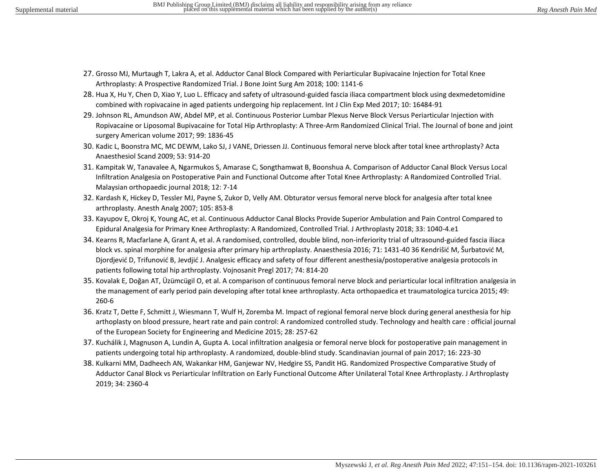- 27. Grosso MJ, Murtaugh T, Lakra A, et al. Adductor Canal Block Compared with Periarticular Bupivacaine Injection for Total Knee Arthroplasty: A Prospective Randomized Trial. J Bone Joint Surg Am 2018; 100: 1141-6
- 28. Hua X, Hu Y, Chen D, Xiao Y, Luo L. Efficacy and safety of ultrasound-guided fascia iliaca compartment block using dexmedetomidine combined with ropivacaine in aged patients undergoing hip replacement. Int J Clin Exp Med 2017; 10: 16484-91
- 29. Johnson RL, Amundson AW, Abdel MP, et al. Continuous Posterior Lumbar Plexus Nerve Block Versus Periarticular Injection with Ropivacaine or Liposomal Bupivacaine for Total Hip Arthroplasty: A Three-Arm Randomized Clinical Trial. The Journal of bone and joint surgery American volume 2017; 99: 1836-45
- 30. Kadic L, Boonstra MC, MC DEWM, Lako SJ, J VANE, Driessen JJ. Continuous femoral nerve block after total knee arthroplasty? Acta Anaesthesiol Scand 2009; 53: 914-20
- 31. Kampitak W, Tanavalee A, Ngarmukos S, Amarase C, Songthamwat B, Boonshua A. Comparison of Adductor Canal Block Versus Local Infiltration Analgesia on Postoperative Pain and Functional Outcome after Total Knee Arthroplasty: A Randomized Controlled Trial. Malaysian orthopaedic journal 2018; 12: 7-14
- 32. Kardash K, Hickey D, Tessler MJ, Payne S, Zukor D, Velly AM. Obturator versus femoral nerve block for analgesia after total knee arthroplasty. Anesth Analg 2007; 105: 853-8
- 33. Kayupov E, Okroj K, Young AC, et al. Continuous Adductor Canal Blocks Provide Superior Ambulation and Pain Control Compared to Epidural Analgesia for Primary Knee Arthroplasty: A Randomized, Controlled Trial. J Arthroplasty 2018; 33: 1040-4.e1
- 34. Kearns R, Macfarlane A, Grant A, et al. A randomised, controlled, double blind, non-inferiority trial of ultrasound-guided fascia iliaca block vs. spinal morphine for analgesia after primary hip arthroplasty. Anaesthesia 2016; 71: 1431-40 36 Kendrišić M, Šurbatović M, Djordjević D, Trifunović B, Jevdjić J. Analgesic efficacy and safety of four different anesthesia/postoperative analgesia protocols in patients following total hip arthroplasty. Vojnosanit Pregl 2017; 74: 814-20
- 35. Kovalak E, Doğan AT, Üzümcügil O, et al. A comparison of continuous femoral nerve block and periarticular local infiltration analgesia in the management of early period pain developing after total knee arthroplasty. Acta orthopaedica et traumatologica turcica 2015; 49: 260-6
- 36. Kratz T, Dette F, Schmitt J, Wiesmann T, Wulf H, Zoremba M. Impact of regional femoral nerve block during general anesthesia for hip arthoplasty on blood pressure, heart rate and pain control: A randomized controlled study. Technology and health care : official journal of the European Society for Engineering and Medicine 2015; 28: 257-62
- 37. Kuchálik J, Magnuson A, Lundin A, Gupta A. Local infiltration analgesia or femoral nerve block for postoperative pain management in patients undergoing total hip arthroplasty. A randomized, double-blind study. Scandinavian journal of pain 2017; 16: 223-30
- 38. Kulkarni MM, Dadheech AN, Wakankar HM, Ganjewar NV, Hedgire SS, Pandit HG. Randomized Prospective Comparative Study of Adductor Canal Block vs Periarticular Infiltration on Early Functional Outcome After Unilateral Total Knee Arthroplasty. J Arthroplasty 2019; 34: 2360-4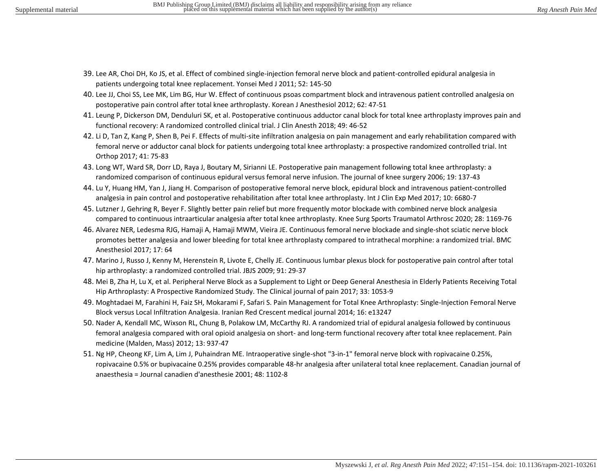- 39. Lee AR, Choi DH, Ko JS, et al. Effect of combined single-injection femoral nerve block and patient-controlled epidural analgesia in patients undergoing total knee replacement. Yonsei Med J 2011; 52: 145-50
- 40. Lee JJ, Choi SS, Lee MK, Lim BG, Hur W. Effect of continuous psoas compartment block and intravenous patient controlled analgesia on postoperative pain control after total knee arthroplasty. Korean J Anesthesiol 2012; 62: 47-51
- 41. Leung P, Dickerson DM, Denduluri SK, et al. Postoperative continuous adductor canal block for total knee arthroplasty improves pain and functional recovery: A randomized controlled clinical trial. J Clin Anesth 2018; 49: 46-52
- 42. Li D, Tan Z, Kang P, Shen B, Pei F. Effects of multi-site infiltration analgesia on pain management and early rehabilitation compared with femoral nerve or adductor canal block for patients undergoing total knee arthroplasty: a prospective randomized controlled trial. Int Orthop 2017; 41: 75-83
- 43. Long WT, Ward SR, Dorr LD, Raya J, Boutary M, Sirianni LE. Postoperative pain management following total knee arthroplasty: a randomized comparison of continuous epidural versus femoral nerve infusion. The journal of knee surgery 2006; 19: 137-43
- 44. Lu Y, Huang HM, Yan J, Jiang H. Comparison of postoperative femoral nerve block, epidural block and intravenous patient-controlled analgesia in pain control and postoperative rehabilitation after total knee arthroplasty. Int J Clin Exp Med 2017; 10: 6680-7
- 45. Lutzner J, Gehring R, Beyer F. Slightly better pain relief but more frequently motor blockade with combined nerve block analgesia compared to continuous intraarticular analgesia after total knee arthroplasty. Knee Surg Sports Traumatol Arthrosc 2020; 28: 1169-76
- 46. Alvarez NER, Ledesma RJG, Hamaji A, Hamaji MWM, Vieira JE. Continuous femoral nerve blockade and single-shot sciatic nerve block promotes better analgesia and lower bleeding for total knee arthroplasty compared to intrathecal morphine: a randomized trial. BMC Anesthesiol 2017; 17: 64
- 47. Marino J, Russo J, Kenny M, Herenstein R, Livote E, Chelly JE. Continuous lumbar plexus block for postoperative pain control after total hip arthroplasty: a randomized controlled trial. JBJS 2009; 91: 29-37
- 48. Mei B, Zha H, Lu X, et al. Peripheral Nerve Block as a Supplement to Light or Deep General Anesthesia in Elderly Patients Receiving Total Hip Arthroplasty: A Prospective Randomized Study. The Clinical journal of pain 2017; 33: 1053-9
- 49. Moghtadaei M, Farahini H, Faiz SH, Mokarami F, Safari S. Pain Management for Total Knee Arthroplasty: Single-Injection Femoral Nerve Block versus Local Infiltration Analgesia. Iranian Red Crescent medical journal 2014; 16: e13247
- 50. Nader A, Kendall MC, Wixson RL, Chung B, Polakow LM, McCarthy RJ. A randomized trial of epidural analgesia followed by continuous femoral analgesia compared with oral opioid analgesia on short- and long-term functional recovery after total knee replacement. Pain medicine (Malden, Mass) 2012; 13: 937-47
- 51. Ng HP, Cheong KF, Lim A, Lim J, Puhaindran ME. Intraoperative single-shot "3-in-1" femoral nerve block with ropivacaine 0.25%, ropivacaine 0.5% or bupivacaine 0.25% provides comparable 48-hr analgesia after unilateral total knee replacement. Canadian journal of anaesthesia = Journal canadien d'anesthesie 2001; 48: 1102-8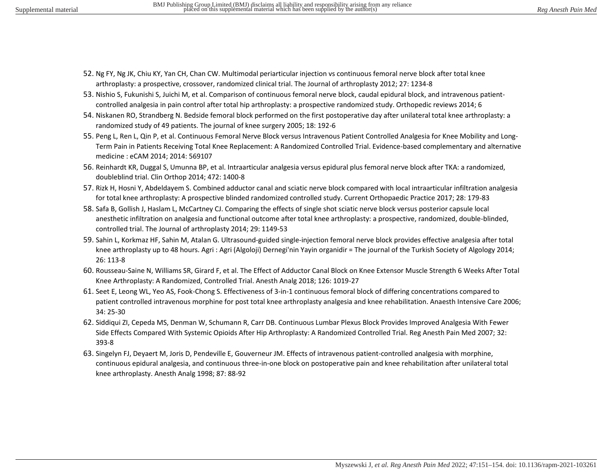- 52. Ng FY, Ng JK, Chiu KY, Yan CH, Chan CW. Multimodal periarticular injection vs continuous femoral nerve block after total knee arthroplasty: a prospective, crossover, randomized clinical trial. The Journal of arthroplasty 2012; 27: 1234-8
- 53. Nishio S, Fukunishi S, Juichi M, et al. Comparison of continuous femoral nerve block, caudal epidural block, and intravenous patientcontrolled analgesia in pain control after total hip arthroplasty: a prospective randomized study. Orthopedic reviews 2014; 6
- 54. Niskanen RO, Strandberg N. Bedside femoral block performed on the first postoperative day after unilateral total knee arthroplasty: a randomized study of 49 patients. The journal of knee surgery 2005; 18: 192-6
- 55. Peng L, Ren L, Qin P, et al. Continuous Femoral Nerve Block versus Intravenous Patient Controlled Analgesia for Knee Mobility and Long-Term Pain in Patients Receiving Total Knee Replacement: A Randomized Controlled Trial. Evidence-based complementary and alternative medicine : eCAM 2014; 2014: 569107
- 56. Reinhardt KR, Duggal S, Umunna BP, et al. Intraarticular analgesia versus epidural plus femoral nerve block after TKA: a randomized, doubleblind trial. Clin Orthop 2014; 472: 1400-8
- 57. Rizk H, Hosni Y, Abdeldayem S. Combined adductor canal and sciatic nerve block compared with local intraarticular infiltration analgesia for total knee arthroplasty: A prospective blinded randomized controlled study. Current Orthopaedic Practice 2017; 28: 179-83
- 58. Safa B, Gollish J, Haslam L, McCartney CJ. Comparing the effects of single shot sciatic nerve block versus posterior capsule local anesthetic infiltration on analgesia and functional outcome after total knee arthroplasty: a prospective, randomized, double-blinded, controlled trial. The Journal of arthroplasty 2014; 29: 1149-53
- 59. Sahin L, Korkmaz HF, Sahin M, Atalan G. Ultrasound-guided single-injection femoral nerve block provides effective analgesia after total knee arthroplasty up to 48 hours. Agri : Agri (Algoloji) Dernegi'nin Yayin organidir = The journal of the Turkish Society of Algology 2014; 26: 113-8
- 60. Rousseau-Saine N, Williams SR, Girard F, et al. The Effect of Adductor Canal Block on Knee Extensor Muscle Strength 6 Weeks After Total Knee Arthroplasty: A Randomized, Controlled Trial. Anesth Analg 2018; 126: 1019-27
- 61. Seet E, Leong WL, Yeo AS, Fook-Chong S. Effectiveness of 3-in-1 continuous femoral block of differing concentrations compared to patient controlled intravenous morphine for post total knee arthroplasty analgesia and knee rehabilitation. Anaesth Intensive Care 2006; 34: 25-30
- 62. Siddiqui ZI, Cepeda MS, Denman W, Schumann R, Carr DB. Continuous Lumbar Plexus Block Provides Improved Analgesia With Fewer Side Effects Compared With Systemic Opioids After Hip Arthroplasty: A Randomized Controlled Trial. Reg Anesth Pain Med 2007; 32: 393-8
- 63. Singelyn FJ, Deyaert M, Joris D, Pendeville E, Gouverneur JM. Effects of intravenous patient-controlled analgesia with morphine, continuous epidural analgesia, and continuous three-in-one block on postoperative pain and knee rehabilitation after unilateral total knee arthroplasty. Anesth Analg 1998; 87: 88-92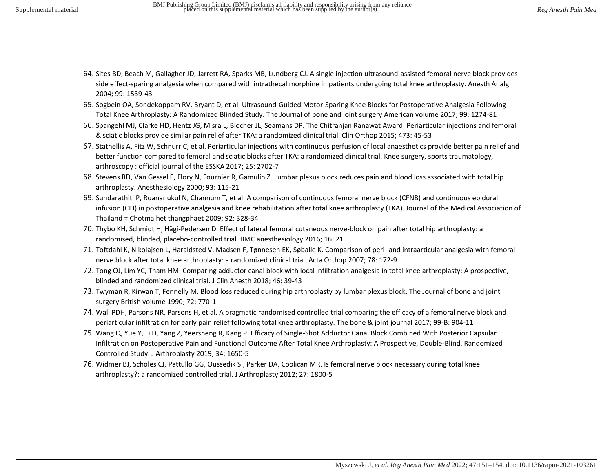- 64. Sites BD, Beach M, Gallagher JD, Jarrett RA, Sparks MB, Lundberg CJ. A single injection ultrasound-assisted femoral nerve block provides side effect-sparing analgesia when compared with intrathecal morphine in patients undergoing total knee arthroplasty. Anesth Analg 2004; 99: 1539-43
- 65. Sogbein OA, Sondekoppam RV, Bryant D, et al. Ultrasound-Guided Motor-Sparing Knee Blocks for Postoperative Analgesia Following Total Knee Arthroplasty: A Randomized Blinded Study. The Journal of bone and joint surgery American volume 2017; 99: 1274-81
- 66. Spangehl MJ, Clarke HD, Hentz JG, Misra L, Blocher JL, Seamans DP. The Chitranjan Ranawat Award: Periarticular injections and femoral & sciatic blocks provide similar pain relief after TKA: a randomized clinical trial. Clin Orthop 2015; 473: 45-53
- 67. Stathellis A, Fitz W, Schnurr C, et al. Periarticular injections with continuous perfusion of local anaesthetics provide better pain relief and better function compared to femoral and sciatic blocks after TKA: a randomized clinical trial. Knee surgery, sports traumatology, arthroscopy : official journal of the ESSKA 2017; 25: 2702-7
- 68. Stevens RD, Van Gessel E, Flory N, Fournier R, Gamulin Z. Lumbar plexus block reduces pain and blood loss associated with total hip arthroplasty. Anesthesiology 2000; 93: 115-21
- 69. Sundarathiti P, Ruananukul N, Channum T, et al. A comparison of continuous femoral nerve block (CFNB) and continuous epidural infusion (CEI) in postoperative analgesia and knee rehabilitation after total knee arthroplasty (TKA). Journal of the Medical Association of Thailand = Chotmaihet thangphaet 2009; 92: 328-34
- 70. Thybo KH, Schmidt H, Hägi-Pedersen D. Effect of lateral femoral cutaneous nerve-block on pain after total hip arthroplasty: a randomised, blinded, placebo-controlled trial. BMC anesthesiology 2016; 16: 21
- 71. Toftdahl K, Nikolajsen L, Haraldsted V, Madsen F, Tønnesen EK, Søballe K. Comparison of peri- and intraarticular analgesia with femoral nerve block after total knee arthroplasty: a randomized clinical trial. Acta Orthop 2007; 78: 172-9
- 72. Tong QJ, Lim YC, Tham HM. Comparing adductor canal block with local infiltration analgesia in total knee arthroplasty: A prospective, blinded and randomized clinical trial. J Clin Anesth 2018; 46: 39-43
- 73. Twyman R, Kirwan T, Fennelly M. Blood loss reduced during hip arthroplasty by lumbar plexus block. The Journal of bone and joint surgery British volume 1990; 72: 770-1
- 74. Wall PDH, Parsons NR, Parsons H, et al. A pragmatic randomised controlled trial comparing the efficacy of a femoral nerve block and periarticular infiltration for early pain relief following total knee arthroplasty. The bone & joint journal 2017; 99-B: 904-11
- 75. Wang Q, Yue Y, Li D, Yang Z, Yeersheng R, Kang P. Efficacy of Single-Shot Adductor Canal Block Combined With Posterior Capsular Infiltration on Postoperative Pain and Functional Outcome After Total Knee Arthroplasty: A Prospective, Double-Blind, Randomized Controlled Study. J Arthroplasty 2019; 34: 1650-5
- 76. Widmer BJ, Scholes CJ, Pattullo GG, Oussedik SI, Parker DA, Coolican MR. Is femoral nerve block necessary during total knee arthroplasty?: a randomized controlled trial. J Arthroplasty 2012; 27: 1800-5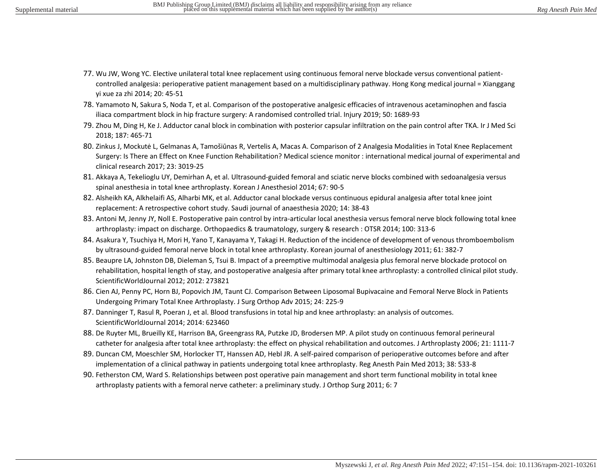- 77. Wu JW, Wong YC. Elective unilateral total knee replacement using continuous femoral nerve blockade versus conventional patientcontrolled analgesia: perioperative patient management based on a multidisciplinary pathway. Hong Kong medical journal = Xianggang yi xue za zhi 2014; 20: 45-51
- 78. Yamamoto N, Sakura S, Noda T, et al. Comparison of the postoperative analgesic efficacies of intravenous acetaminophen and fascia iliaca compartment block in hip fracture surgery: A randomised controlled trial. Injury 2019; 50: 1689-93
- 79. Zhou M, Ding H, Ke J. Adductor canal block in combination with posterior capsular infiltration on the pain control after TKA. Ir J Med Sci 2018; 187: 465-71
- 80. Zinkus J, Mockutė L, Gelmanas A, Tamošiūnas R, Vertelis A, Macas A. Comparison of 2 Analgesia Modalities in Total Knee Replacement Surgery: Is There an Effect on Knee Function Rehabilitation? Medical science monitor : international medical journal of experimental and clinical research 2017; 23: 3019-25
- 81. Akkaya A, Tekelioglu UY, Demirhan A, et al. Ultrasound-guided femoral and sciatic nerve blocks combined with sedoanalgesia versus spinal anesthesia in total knee arthroplasty. Korean J Anesthesiol 2014; 67: 90-5
- 82. Alsheikh KA, Alkhelaifi AS, Alharbi MK, et al. Adductor canal blockade versus continuous epidural analgesia after total knee joint replacement: A retrospective cohort study. Saudi journal of anaesthesia 2020; 14: 38-43
- 83. Antoni M, Jenny JY, Noll E. Postoperative pain control by intra-articular local anesthesia versus femoral nerve block following total knee arthroplasty: impact on discharge. Orthopaedics & traumatology, surgery & research : OTSR 2014; 100: 313-6
- 84. Asakura Y, Tsuchiya H, Mori H, Yano T, Kanayama Y, Takagi H. Reduction of the incidence of development of venous thromboembolism by ultrasound-guided femoral nerve block in total knee arthroplasty. Korean journal of anesthesiology 2011; 61: 382-7
- 85. Beaupre LA, Johnston DB, Dieleman S, Tsui B. Impact of a preemptive multimodal analgesia plus femoral nerve blockade protocol on rehabilitation, hospital length of stay, and postoperative analgesia after primary total knee arthroplasty: a controlled clinical pilot study. ScientificWorldJournal 2012; 2012: 273821
- 86. Cien AJ, Penny PC, Horn BJ, Popovich JM, Taunt CJ. Comparison Between Liposomal Bupivacaine and Femoral Nerve Block in Patients Undergoing Primary Total Knee Arthroplasty. J Surg Orthop Adv 2015; 24: 225-9
- 87. Danninger T, Rasul R, Poeran J, et al. Blood transfusions in total hip and knee arthroplasty: an analysis of outcomes. ScientificWorldJournal 2014; 2014: 623460
- 88. De Ruyter ML, Brueilly KE, Harrison BA, Greengrass RA, Putzke JD, Brodersen MP. A pilot study on continuous femoral perineural catheter for analgesia after total knee arthroplasty: the effect on physical rehabilitation and outcomes. J Arthroplasty 2006; 21: 1111-7
- 89. Duncan CM, Moeschler SM, Horlocker TT, Hanssen AD, Hebl JR. A self-paired comparison of perioperative outcomes before and after implementation of a clinical pathway in patients undergoing total knee arthroplasty. Reg Anesth Pain Med 2013; 38: 533-8
- 90. Fetherston CM, Ward S. Relationships between post operative pain management and short term functional mobility in total knee arthroplasty patients with a femoral nerve catheter: a preliminary study. J Orthop Surg 2011; 6: 7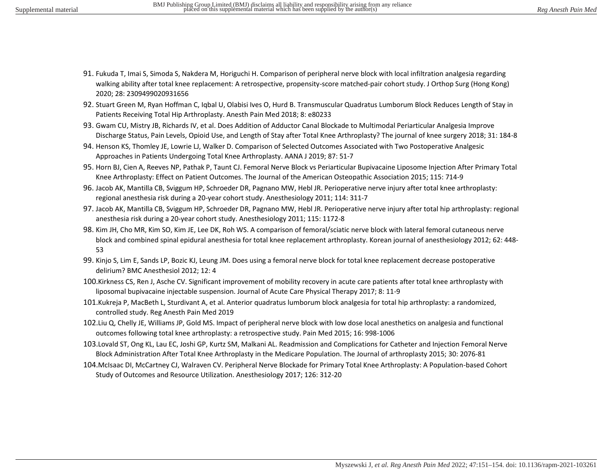- 91. Fukuda T, Imai S, Simoda S, Nakdera M, Horiguchi H. Comparison of peripheral nerve block with local infiltration analgesia regarding walking ability after total knee replacement: A retrospective, propensity-score matched-pair cohort study. J Orthop Surg (Hong Kong) 2020; 28: 2309499020931656
- 92. Stuart Green M, Ryan Hoffman C, Iqbal U, Olabisi Ives O, Hurd B. Transmuscular Quadratus Lumborum Block Reduces Length of Stay in Patients Receiving Total Hip Arthroplasty. Anesth Pain Med 2018; 8: e80233
- 93. Gwam CU, Mistry JB, Richards IV, et al. Does Addition of Adductor Canal Blockade to Multimodal Periarticular Analgesia Improve Discharge Status, Pain Levels, Opioid Use, and Length of Stay after Total Knee Arthroplasty? The journal of knee surgery 2018; 31: 184-8
- 94. Henson KS, Thomley JE, Lowrie LJ, Walker D. Comparison of Selected Outcomes Associated with Two Postoperative Analgesic Approaches in Patients Undergoing Total Knee Arthroplasty. AANA J 2019; 87: 51-7
- 95. Horn BJ, Cien A, Reeves NP, Pathak P, Taunt CJ. Femoral Nerve Block vs Periarticular Bupivacaine Liposome Injection After Primary Total Knee Arthroplasty: Effect on Patient Outcomes. The Journal of the American Osteopathic Association 2015; 115: 714-9
- 96. Jacob AK, Mantilla CB, Sviggum HP, Schroeder DR, Pagnano MW, Hebl JR. Perioperative nerve injury after total knee arthroplasty: regional anesthesia risk during a 20-year cohort study. Anesthesiology 2011; 114: 311-7
- 97. Jacob AK, Mantilla CB, Sviggum HP, Schroeder DR, Pagnano MW, Hebl JR. Perioperative nerve injury after total hip arthroplasty: regional anesthesia risk during a 20-year cohort study. Anesthesiology 2011; 115: 1172-8
- 98. Kim JH, Cho MR, Kim SO, Kim JE, Lee DK, Roh WS. A comparison of femoral/sciatic nerve block with lateral femoral cutaneous nerve block and combined spinal epidural anesthesia for total knee replacement arthroplasty. Korean journal of anesthesiology 2012; 62: 448- 53
- 99. Kinjo S, Lim E, Sands LP, Bozic KJ, Leung JM. Does using a femoral nerve block for total knee replacement decrease postoperative delirium? BMC Anesthesiol 2012; 12: 4
- 100.Kirkness CS, Ren J, Asche CV. Significant improvement of mobility recovery in acute care patients after total knee arthroplasty with liposomal bupivacaine injectable suspension. Journal of Acute Care Physical Therapy 2017; 8: 11-9
- 101.Kukreja P, MacBeth L, Sturdivant A, et al. Anterior quadratus lumborum block analgesia for total hip arthroplasty: a randomized, controlled study. Reg Anesth Pain Med 2019
- 102.Liu Q, Chelly JE, Williams JP, Gold MS. Impact of peripheral nerve block with low dose local anesthetics on analgesia and functional outcomes following total knee arthroplasty: a retrospective study. Pain Med 2015; 16: 998-1006
- 103.Lovald ST, Ong KL, Lau EC, Joshi GP, Kurtz SM, Malkani AL. Readmission and Complications for Catheter and Injection Femoral Nerve Block Administration After Total Knee Arthroplasty in the Medicare Population. The Journal of arthroplasty 2015; 30: 2076-81
- 104.McIsaac DI, McCartney CJ, Walraven CV. Peripheral Nerve Blockade for Primary Total Knee Arthroplasty: A Population-based Cohort Study of Outcomes and Resource Utilization. Anesthesiology 2017; 126: 312-20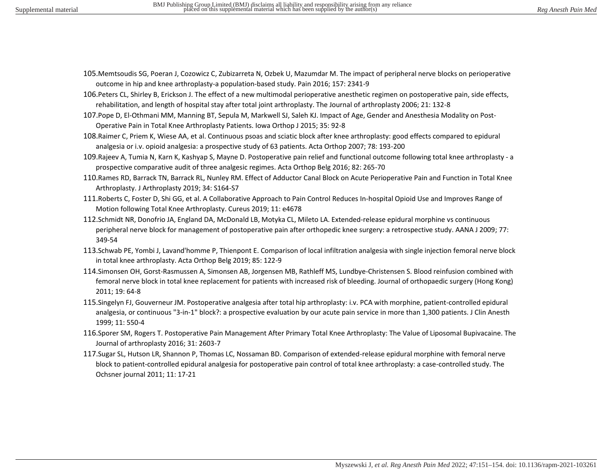- 105.Memtsoudis SG, Poeran J, Cozowicz C, Zubizarreta N, Ozbek U, Mazumdar M. The impact of peripheral nerve blocks on perioperative outcome in hip and knee arthroplasty-a population-based study. Pain 2016; 157: 2341-9
- 106.Peters CL, Shirley B, Erickson J. The effect of a new multimodal perioperative anesthetic regimen on postoperative pain, side effects, rehabilitation, and length of hospital stay after total joint arthroplasty. The Journal of arthroplasty 2006; 21: 132-8
- 107.Pope D, El-Othmani MM, Manning BT, Sepula M, Markwell SJ, Saleh KJ. Impact of Age, Gender and Anesthesia Modality on Post-Operative Pain in Total Knee Arthroplasty Patients. Iowa Orthop J 2015; 35: 92-8
- 108.Raimer C, Priem K, Wiese AA, et al. Continuous psoas and sciatic block after knee arthroplasty: good effects compared to epidural analgesia or i.v. opioid analgesia: a prospective study of 63 patients. Acta Orthop 2007; 78: 193-200
- 109.Rajeev A, Tumia N, Karn K, Kashyap S, Mayne D. Postoperative pain relief and functional outcome following total knee arthroplasty a prospective comparative audit of three analgesic regimes. Acta Orthop Belg 2016; 82: 265-70
- 110.Rames RD, Barrack TN, Barrack RL, Nunley RM. Effect of Adductor Canal Block on Acute Perioperative Pain and Function in Total Knee Arthroplasty. J Arthroplasty 2019; 34: S164-S7
- 111.Roberts C, Foster D, Shi GG, et al. A Collaborative Approach to Pain Control Reduces In-hospital Opioid Use and Improves Range of Motion following Total Knee Arthroplasty. Cureus 2019; 11: e4678
- 112.Schmidt NR, Donofrio JA, England DA, McDonald LB, Motyka CL, Mileto LA. Extended-release epidural morphine vs continuous peripheral nerve block for management of postoperative pain after orthopedic knee surgery: a retrospective study. AANA J 2009; 77: 349-54
- 113.Schwab PE, Yombi J, Lavand'homme P, Thienpont E. Comparison of local infiltration analgesia with single injection femoral nerve block in total knee arthroplasty. Acta Orthop Belg 2019; 85: 122-9
- 114.Simonsen OH, Gorst-Rasmussen A, Simonsen AB, Jorgensen MB, Rathleff MS, Lundbye-Christensen S. Blood reinfusion combined with femoral nerve block in total knee replacement for patients with increased risk of bleeding. Journal of orthopaedic surgery (Hong Kong) 2011; 19: 64-8
- 115.Singelyn FJ, Gouverneur JM. Postoperative analgesia after total hip arthroplasty: i.v. PCA with morphine, patient-controlled epidural analgesia, or continuous "3-in-1" block?: a prospective evaluation by our acute pain service in more than 1,300 patients. J Clin Anesth 1999; 11: 550-4
- 116.Sporer SM, Rogers T. Postoperative Pain Management After Primary Total Knee Arthroplasty: The Value of Liposomal Bupivacaine. The Journal of arthroplasty 2016; 31: 2603-7
- 117.Sugar SL, Hutson LR, Shannon P, Thomas LC, Nossaman BD. Comparison of extended-release epidural morphine with femoral nerve block to patient-controlled epidural analgesia for postoperative pain control of total knee arthroplasty: a case-controlled study. The Ochsner journal 2011; 11: 17-21